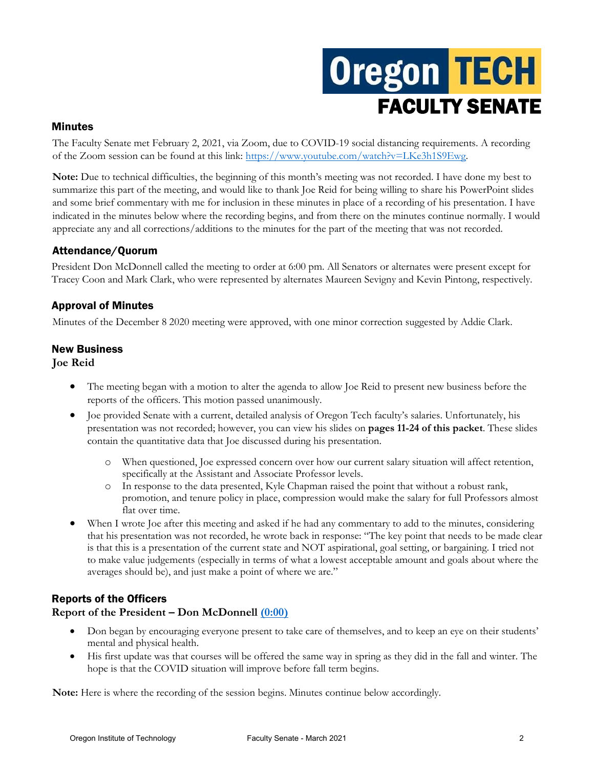# **Oregon TECH** FACULTY SENATE

#### Minutes

The Faculty Senate met February 2, 2021, via Zoom, due to COVID-19 social distancing requirements. A recording of the Zoom session can be found at this link: [https://www.youtube.com/watch?v=LKe3h1S9Ewg.](https://www.youtube.com/watch?v=LKe3h1S9Ewg)

**Note:** Due to technical difficulties, the beginning of this month's meeting was not recorded. I have done my best to summarize this part of the meeting, and would like to thank Joe Reid for being willing to share his PowerPoint slides and some brief commentary with me for inclusion in these minutes in place of a recording of his presentation. I have indicated in the minutes below where the recording begins, and from there on the minutes continue normally. I would appreciate any and all corrections/additions to the minutes for the part of the meeting that was not recorded.

# Attendance/Quorum

President Don McDonnell called the meeting to order at 6:00 pm. All Senators or alternates were present except for Tracey Coon and Mark Clark, who were represented by alternates Maureen Sevigny and Kevin Pintong, respectively.

# Approval of Minutes

Minutes of the December 8 2020 meeting were approved, with one minor correction suggested by Addie Clark.

#### New Business

**Joe Reid**

- The meeting began with a motion to alter the agenda to allow Joe Reid to present new business before the reports of the officers. This motion passed unanimously.
- Joe provided Senate with a current, detailed analysis of Oregon Tech faculty's salaries. Unfortunately, his presentation was not recorded; however, you can view his slides on **pages 11-24 of this packet**. These slides contain the quantitative data that Joe discussed during his presentation.
	- o When questioned, Joe expressed concern over how our current salary situation will affect retention, specifically at the Assistant and Associate Professor levels.
	- o In response to the data presented, Kyle Chapman raised the point that without a robust rank, promotion, and tenure policy in place, compression would make the salary for full Professors almost flat over time.
- When I wrote Joe after this meeting and asked if he had any commentary to add to the minutes, considering that his presentation was not recorded, he wrote back in response: "The key point that needs to be made clear is that this is a presentation of the current state and NOT aspirational, goal setting, or bargaining. I tried not to make value judgements (especially in terms of what a lowest acceptable amount and goals about where the averages should be), and just make a point of where we are."

# Reports of the Officers

# **Report of the President – Don McDonnell [\(0:00\)](https://youtu.be/LKe3h1S9Ewg)**

- Don began by encouraging everyone present to take care of themselves, and to keep an eye on their students' mental and physical health.
- His first update was that courses will be offered the same way in spring as they did in the fall and winter. The hope is that the COVID situation will improve before fall term begins.

**Note:** Here is where the recording of the session begins. Minutes continue below accordingly.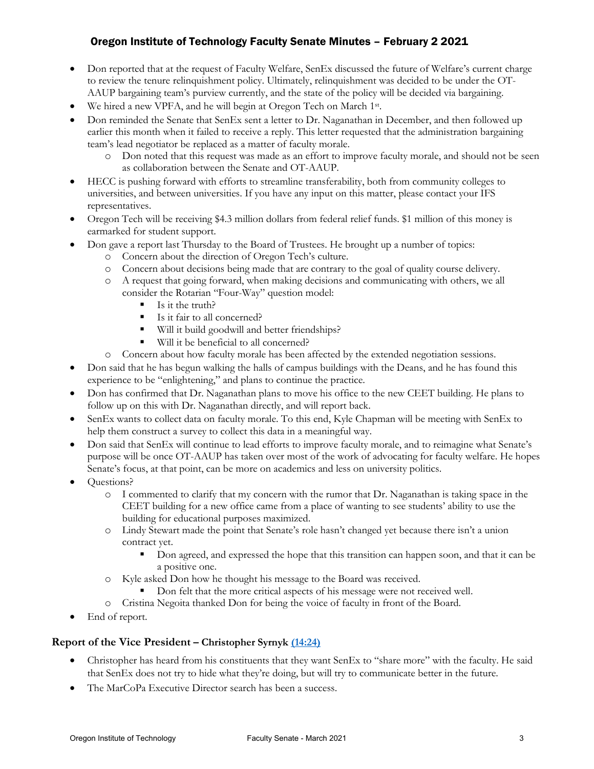- Don reported that at the request of Faculty Welfare, SenEx discussed the future of Welfare's current charge to review the tenure relinquishment policy. Ultimately, relinquishment was decided to be under the OT-AAUP bargaining team's purview currently, and the state of the policy will be decided via bargaining.
- We hired a new VPFA, and he will begin at Oregon Tech on March 1st.
- Don reminded the Senate that SenEx sent a letter to Dr. Naganathan in December, and then followed up earlier this month when it failed to receive a reply. This letter requested that the administration bargaining team's lead negotiator be replaced as a matter of faculty morale.
	- o Don noted that this request was made as an effort to improve faculty morale, and should not be seen as collaboration between the Senate and OT-AAUP.
- HECC is pushing forward with efforts to streamline transferability, both from community colleges to universities, and between universities. If you have any input on this matter, please contact your IFS representatives.
- Oregon Tech will be receiving \$4.3 million dollars from federal relief funds. \$1 million of this money is earmarked for student support.
- Don gave a report last Thursday to the Board of Trustees. He brought up a number of topics:
	- o Concern about the direction of Oregon Tech's culture.
	- o Concern about decisions being made that are contrary to the goal of quality course delivery.
	- o A request that going forward, when making decisions and communicating with others, we all consider the Rotarian "Four-Way" question model:
		- $\blacksquare$  Is it the truth?
		- Is it fair to all concerned?
		- Will it build goodwill and better friendships?
		- Will it be beneficial to all concerned?
	- o Concern about how faculty morale has been affected by the extended negotiation sessions.
- Don said that he has begun walking the halls of campus buildings with the Deans, and he has found this experience to be "enlightening," and plans to continue the practice.
- Don has confirmed that Dr. Naganathan plans to move his office to the new CEET building. He plans to follow up on this with Dr. Naganathan directly, and will report back.
- SenEx wants to collect data on faculty morale. To this end, Kyle Chapman will be meeting with SenEx to help them construct a survey to collect this data in a meaningful way.
- Don said that SenEx will continue to lead efforts to improve faculty morale, and to reimagine what Senate's purpose will be once OT-AAUP has taken over most of the work of advocating for faculty welfare. He hopes Senate's focus, at that point, can be more on academics and less on university politics.
- Questions?
	- o I commented to clarify that my concern with the rumor that Dr. Naganathan is taking space in the CEET building for a new office came from a place of wanting to see students' ability to use the building for educational purposes maximized.
	- o Lindy Stewart made the point that Senate's role hasn't changed yet because there isn't a union contract yet.
		- Don agreed, and expressed the hope that this transition can happen soon, and that it can be a positive one.
	- o Kyle asked Don how he thought his message to the Board was received.
		- Don felt that the more critical aspects of his message were not received well.
	- o Cristina Negoita thanked Don for being the voice of faculty in front of the Board.
- End of report.

#### **Report of the Vice President – Christopher Syrnyk [\(14:24\)](https://youtu.be/LKe3h1S9Ewg?t=867)**

- Christopher has heard from his constituents that they want SenEx to "share more" with the faculty. He said that SenEx does not try to hide what they're doing, but will try to communicate better in the future.
- The MarCoPa Executive Director search has been a success.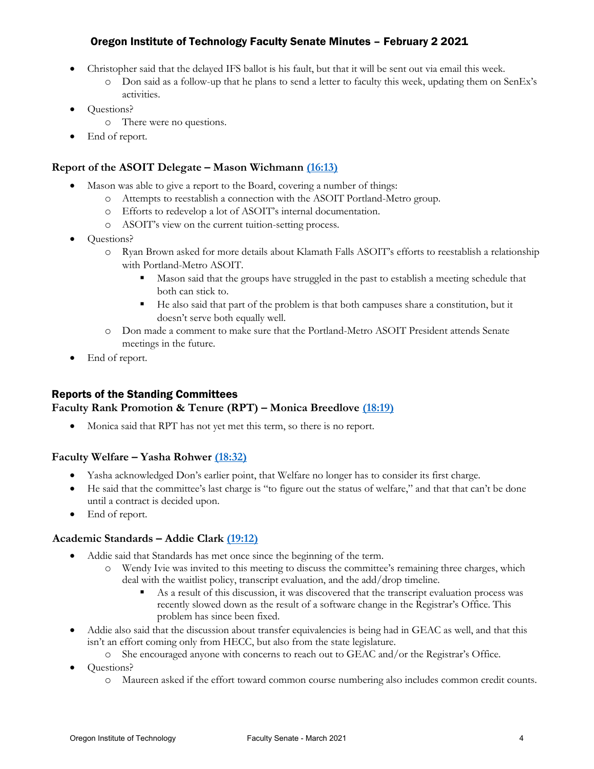- Christopher said that the delayed IFS ballot is his fault, but that it will be sent out via email this week.
	- $\circ$  Don said as a follow-up that he plans to send a letter to faculty this week, updating them on SenEx's activities.
- Questions?
	- o There were no questions.
- End of report.

## **Report of the ASOIT Delegate – Mason Wichmann [\(16:13\)](https://youtu.be/LKe3h1S9Ewg?t=973)**

- Mason was able to give a report to the Board, covering a number of things:
	- o Attempts to reestablish a connection with the ASOIT Portland-Metro group.
	- o Efforts to redevelop a lot of ASOIT's internal documentation.
	- o ASOIT's view on the current tuition-setting process.
- Questions?
	- o Ryan Brown asked for more details about Klamath Falls ASOIT's efforts to reestablish a relationship with Portland-Metro ASOIT.
		- Mason said that the groups have struggled in the past to establish a meeting schedule that both can stick to.
		- He also said that part of the problem is that both campuses share a constitution, but it doesn't serve both equally well.
	- o Don made a comment to make sure that the Portland-Metro ASOIT President attends Senate meetings in the future.
- End of report.

# Reports of the Standing Committees

#### **Faculty Rank Promotion & Tenure (RPT) – Monica Breedlove [\(18:19\)](https://youtu.be/LKe3h1S9Ewg?t=1099)**

• Monica said that RPT has not yet met this term, so there is no report.

#### **Faculty Welfare – Yasha Rohwer [\(18:32\)](https://youtu.be/LKe3h1S9Ewg?t=1112)**

- Yasha acknowledged Don's earlier point, that Welfare no longer has to consider its first charge.
- He said that the committee's last charge is "to figure out the status of welfare," and that that can't be done until a contract is decided upon.
- End of report.

#### **Academic Standards – Addie Clark [\(19:12\)](https://youtu.be/LKe3h1S9Ewg?t=1153)**

- Addie said that Standards has met once since the beginning of the term.
	- o Wendy Ivie was invited to this meeting to discuss the committee's remaining three charges, which deal with the waitlist policy, transcript evaluation, and the add/drop timeline.
		- As a result of this discussion, it was discovered that the transcript evaluation process was recently slowed down as the result of a software change in the Registrar's Office. This problem has since been fixed.
- Addie also said that the discussion about transfer equivalencies is being had in GEAC as well, and that this isn't an effort coming only from HECC, but also from the state legislature.
	- o She encouraged anyone with concerns to reach out to GEAC and/or the Registrar's Office.
- Questions?
	- o Maureen asked if the effort toward common course numbering also includes common credit counts.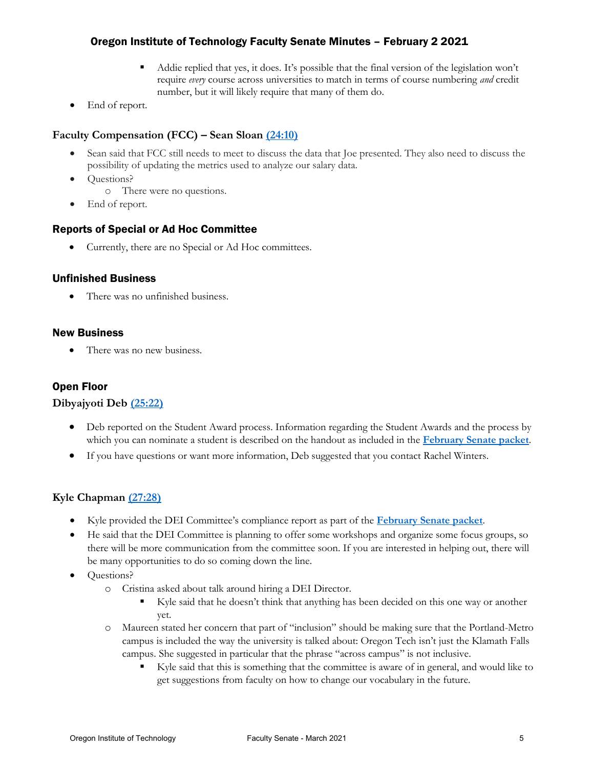- Addie replied that yes, it does. It's possible that the final version of the legislation won't require *every* course across universities to match in terms of course numbering *and* credit number, but it will likely require that many of them do.
- End of report.

## **Faculty Compensation (FCC) – Sean Sloan [\(24:10\)](https://youtu.be/LKe3h1S9Ewg?t=1450)**

- Sean said that FCC still needs to meet to discuss the data that Joe presented. They also need to discuss the possibility of updating the metrics used to analyze our salary data.
- Questions?
	- o There were no questions.
- End of report.

#### Reports of Special or Ad Hoc Committee

• Currently, there are no Special or Ad Hoc committees.

#### Unfinished Business

• There was no unfinished business.

#### New Business

• There was no new business.

## Open Floor

#### **Dibyajyoti Deb [\(25:22\)](https://youtu.be/LKe3h1S9Ewg?t=1523)**

- Deb reported on the Student Award process. Information regarding the Student Awards and the process by which you can nominate a student is described on the handout as included in the **[February Senate packet](https://oregontech.sharepoint.com/:b:/s/SenEx2020-21/ETQNqfESGfRJtXM6jjA5eMoBsClTTBmBcOMb3jC4PKVZXQ?e=vmZfkd)**.
- If you have questions or want more information, Deb suggested that you contact Rachel Winters.

#### **Kyle Chapman [\(27:28\)](https://youtu.be/LKe3h1S9Ewg?t=1648)**

- Kyle provided the DEI Committee's compliance report as part of the **[February Senate packet](https://oregontech.sharepoint.com/:b:/s/SenEx2020-21/ETQNqfESGfRJtXM6jjA5eMoBsClTTBmBcOMb3jC4PKVZXQ?e=vmZfkd)**.
- He said that the DEI Committee is planning to offer some workshops and organize some focus groups, so there will be more communication from the committee soon. If you are interested in helping out, there will be many opportunities to do so coming down the line.
- Questions?
	- o Cristina asked about talk around hiring a DEI Director.
		- Kyle said that he doesn't think that anything has been decided on this one way or another yet.
	- o Maureen stated her concern that part of "inclusion" should be making sure that the Portland-Metro campus is included the way the university is talked about: Oregon Tech isn't just the Klamath Falls campus. She suggested in particular that the phrase "across campus" is not inclusive.
		- Kyle said that this is something that the committee is aware of in general, and would like to get suggestions from faculty on how to change our vocabulary in the future.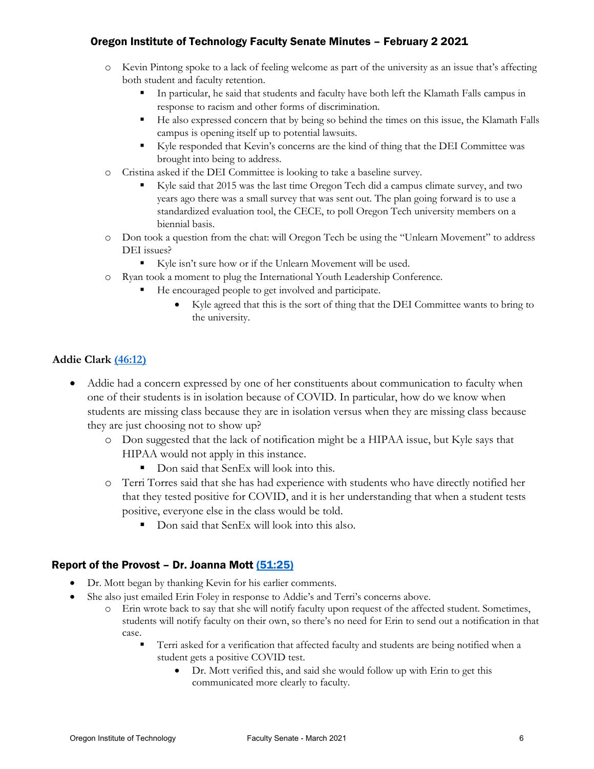- o Kevin Pintong spoke to a lack of feeling welcome as part of the university as an issue that's affecting both student and faculty retention.
	- In particular, he said that students and faculty have both left the Klamath Falls campus in response to racism and other forms of discrimination.
	- He also expressed concern that by being so behind the times on this issue, the Klamath Falls campus is opening itself up to potential lawsuits.
	- Kyle responded that Kevin's concerns are the kind of thing that the DEI Committee was brought into being to address.
- o Cristina asked if the DEI Committee is looking to take a baseline survey.
	- Kyle said that 2015 was the last time Oregon Tech did a campus climate survey, and two years ago there was a small survey that was sent out. The plan going forward is to use a standardized evaluation tool, the CECE, to poll Oregon Tech university members on a biennial basis.
- o Don took a question from the chat: will Oregon Tech be using the "Unlearn Movement" to address DEI issues?
	- Kyle isn't sure how or if the Unlearn Movement will be used.
- o Ryan took a moment to plug the International Youth Leadership Conference.
	- He encouraged people to get involved and participate.
		- Kyle agreed that this is the sort of thing that the DEI Committee wants to bring to the university.

# **Addie Clark [\(46:12\)](https://youtu.be/LKe3h1S9Ewg?t=2772)**

- Addie had a concern expressed by one of her constituents about communication to faculty when one of their students is in isolation because of COVID. In particular, how do we know when students are missing class because they are in isolation versus when they are missing class because they are just choosing not to show up?
	- o Don suggested that the lack of notification might be a HIPAA issue, but Kyle says that HIPAA would not apply in this instance.
		- Don said that SenEx will look into this.
	- o Terri Torres said that she has had experience with students who have directly notified her that they tested positive for COVID, and it is her understanding that when a student tests positive, everyone else in the class would be told.
		- Don said that SenEx will look into this also.

# Report of the Provost – Dr. Joanna Mott  $(51:25)$

- Dr. Mott began by thanking Kevin for his earlier comments.
- She also just emailed Erin Foley in response to Addie's and Terri's concerns above.
	- o Erin wrote back to say that she will notify faculty upon request of the affected student. Sometimes, students will notify faculty on their own, so there's no need for Erin to send out a notification in that case.
		- Terri asked for a verification that affected faculty and students are being notified when a student gets a positive COVID test.
			- Dr. Mott verified this, and said she would follow up with Erin to get this communicated more clearly to faculty.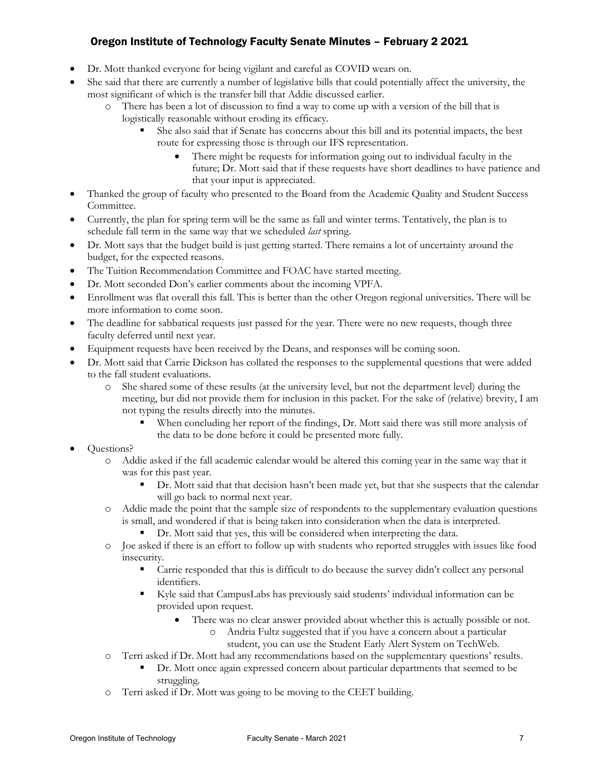- Dr. Mott thanked everyone for being vigilant and careful as COVID wears on.
- She said that there are currently a number of legislative bills that could potentially affect the university, the most significant of which is the transfer bill that Addie discussed earlier.
	- o There has been a lot of discussion to find a way to come up with a version of the bill that is logistically reasonable without eroding its efficacy.
		- She also said that if Senate has concerns about this bill and its potential impacts, the best route for expressing those is through our IFS representation.
			- There might be requests for information going out to individual faculty in the future; Dr. Mott said that if these requests have short deadlines to have patience and that your input is appreciated.
- Thanked the group of faculty who presented to the Board from the Academic Quality and Student Success Committee.
- Currently, the plan for spring term will be the same as fall and winter terms. Tentatively, the plan is to schedule fall term in the same way that we scheduled *last* spring.
- Dr. Mott says that the budget build is just getting started. There remains a lot of uncertainty around the budget, for the expected reasons.
- The Tuition Recommendation Committee and FOAC have started meeting.
- Dr. Mott seconded Don's earlier comments about the incoming VPFA.
- Enrollment was flat overall this fall. This is better than the other Oregon regional universities. There will be more information to come soon.
- The deadline for sabbatical requests just passed for the year. There were no new requests, though three faculty deferred until next year.
- Equipment requests have been received by the Deans, and responses will be coming soon.
- Dr. Mott said that Carrie Dickson has collated the responses to the supplemental questions that were added to the fall student evaluations.
	- o She shared some of these results (at the university level, but not the department level) during the meeting, but did not provide them for inclusion in this packet. For the sake of (relative) brevity, I am not typing the results directly into the minutes.
		- When concluding her report of the findings, Dr. Mott said there was still more analysis of the data to be done before it could be presented more fully.
- Questions?
	- o Addie asked if the fall academic calendar would be altered this coming year in the same way that it was for this past year.
		- Dr. Mott said that that decision hasn't been made yet, but that she suspects that the calendar will go back to normal next year.
	- o Addie made the point that the sample size of respondents to the supplementary evaluation questions is small, and wondered if that is being taken into consideration when the data is interpreted.
		- Dr. Mott said that yes, this will be considered when interpreting the data.
	- o Joe asked if there is an effort to follow up with students who reported struggles with issues like food insecurity.
		- Carrie responded that this is difficult to do because the survey didn't collect any personal identifiers.
		- Kyle said that CampusLabs has previously said students' individual information can be provided upon request.
			- There was no clear answer provided about whether this is actually possible or not.
				- o Andria Fultz suggested that if you have a concern about a particular student, you can use the Student Early Alert System on TechWeb.
	- o Terri asked if Dr. Mott had any recommendations based on the supplementary questions' results.
		- Dr. Mott once again expressed concern about particular departments that seemed to be struggling.
	- o Terri asked if Dr. Mott was going to be moving to the CEET building.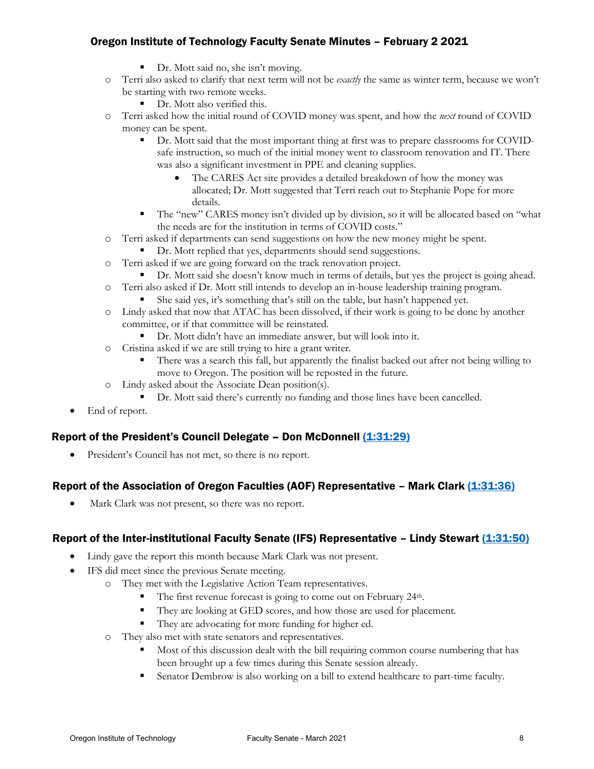- Dr. Mott said no, she isn't moving.
- o Terri also asked to clarify that next term will not be *exactly* the same as winter term, because we won't be starting with two remote weeks.
	- Dr. Mott also verified this.
- o Terri asked how the initial round of COVID money was spent, and how the *next* round of COVID money can be spent.
	- Dr. Mott said that the most important thing at first was to prepare classrooms for COVIDsafe instruction, so much of the initial money went to classroom renovation and IT. There was also a significant investment in PPE and cleaning supplies.
		- The CARES Act site provides a detailed breakdown of how the money was allocated; Dr. Mott suggested that Terri reach out to Stephanie Pope for more details.
	- The "new" CARES money isn't divided up by division, so it will be allocated based on "what the needs are for the institution in terms of COVID costs."
- o Terri asked if departments can send suggestions on how the new money might be spent.
	- Dr. Mott replied that yes, departments should send suggestions.
- o Terri asked if we are going forward on the track renovation project.
	- **•** Dr. Mott said she doesn't know much in terms of details, but yes the project is going ahead.
- o Terri also asked if Dr. Mott still intends to develop an in-house leadership training program. She said yes, it's something that's still on the table, but hasn't happened yet.
- o Lindy asked that now that ATAC has been dissolved, if their work is going to be done by another committee, or if that committee will be reinstated.
	- Dr. Mott didn't have an immediate answer, but will look into it.
- o Cristina asked if we are still trying to hire a grant writer.
	- There was a search this fall, but apparently the finalist backed out after not being willing to move to Oregon. The position will be reposted in the future.
- o Lindy asked about the Associate Dean position(s).
	- Dr. Mott said there's currently no funding and those lines have been cancelled.
- End of report.

# Report of the President's Council Delegate – Don McDonnell (1:31:29)

President's Council has not met, so there is no report.

# Report of the Association of Oregon Faculties (AOF) Representative - Mark Clark [\(1:31:36\)](https://youtu.be/LKe3h1S9Ewg?t=5496)

Mark Clark was not present, so there was no report.

#### Report of the Inter-institutional Faculty Senate (IFS) Representative – Lindy Stewart [\(1:31:50\)](https://youtu.be/LKe3h1S9Ewg?t=5510)

- Lindy gave the report this month because Mark Clark was not present.
- IFS did meet since the previous Senate meeting.
	- o They met with the Legislative Action Team representatives.
		- The first revenue forecast is going to come out on February 24<sup>th</sup>.
		- They are looking at GED scores, and how those are used for placement.
		- They are advocating for more funding for higher ed.
	- o They also met with state senators and representatives.
		- Most of this discussion dealt with the bill requiring common course numbering that has been brought up a few times during this Senate session already.
		- Senator Dembrow is also working on a bill to extend healthcare to part-time faculty.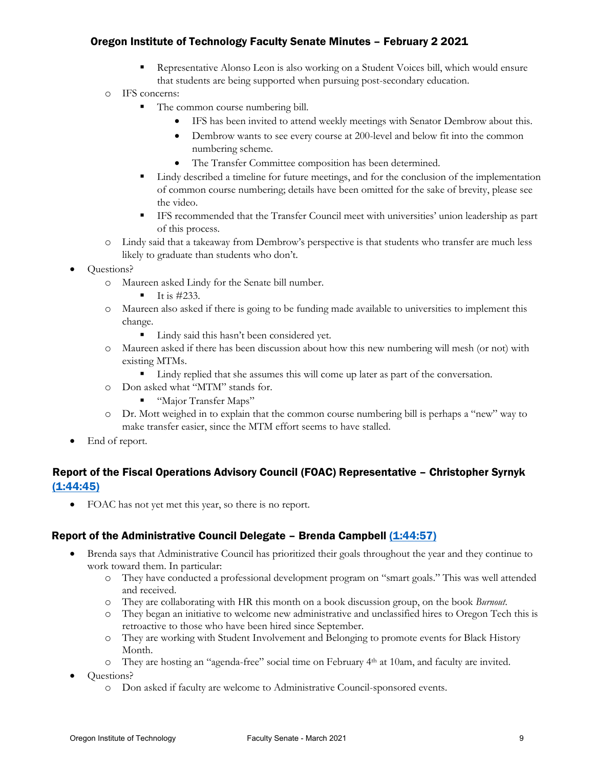- Representative Alonso Leon is also working on a Student Voices bill, which would ensure that students are being supported when pursuing post-secondary education.
- o IFS concerns:
	- The common course numbering bill.
		- IFS has been invited to attend weekly meetings with Senator Dembrow about this.
		- Dembrow wants to see every course at 200-level and below fit into the common numbering scheme.
		- The Transfer Committee composition has been determined.
	- Lindy described a timeline for future meetings, and for the conclusion of the implementation of common course numbering; details have been omitted for the sake of brevity, please see the video.
	- IFS recommended that the Transfer Council meet with universities' union leadership as part of this process.
- o Lindy said that a takeaway from Dembrow's perspective is that students who transfer are much less likely to graduate than students who don't.
- Questions?
	- o Maureen asked Lindy for the Senate bill number.
		- It is  $\#233$ .
	- o Maureen also asked if there is going to be funding made available to universities to implement this change.
		- Lindy said this hasn't been considered yet.
	- o Maureen asked if there has been discussion about how this new numbering will mesh (or not) with existing MTMs.
		- Lindy replied that she assumes this will come up later as part of the conversation.
	- o Don asked what "MTM" stands for.
		- "Major Transfer Maps"
	- o Dr. Mott weighed in to explain that the common course numbering bill is perhaps a "new" way to make transfer easier, since the MTM effort seems to have stalled.
- End of report.

# Report of the Fiscal Operations Advisory Council (FOAC) Representative – Christopher Syrnyk [\(1:44:45\)](https://youtu.be/LKe3h1S9Ewg?t=6285)

• FOAC has not yet met this year, so there is no report.

# Report of the Administrative Council Delegate - Brenda Campbell [\(1:44:57\)](https://youtu.be/LKe3h1S9Ewg?t=6297)

- Brenda says that Administrative Council has prioritized their goals throughout the year and they continue to work toward them. In particular:
	- o They have conducted a professional development program on "smart goals." This was well attended and received.
	- o They are collaborating with HR this month on a book discussion group, on the book *Burnout*.
	- o They began an initiative to welcome new administrative and unclassified hires to Oregon Tech this is retroactive to those who have been hired since September.
	- o They are working with Student Involvement and Belonging to promote events for Black History Month.
	- o They are hosting an "agenda-free" social time on February 4th at 10am, and faculty are invited.
- Questions?
	- o Don asked if faculty are welcome to Administrative Council-sponsored events.